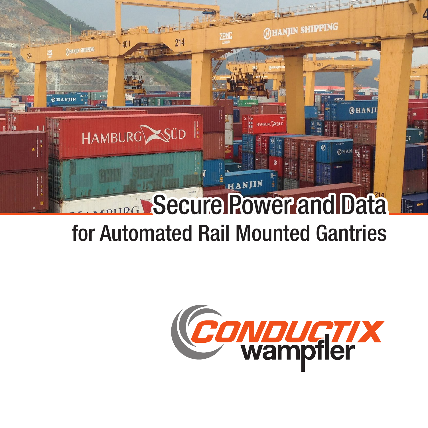

# for Automated Rail Mounted Gantries

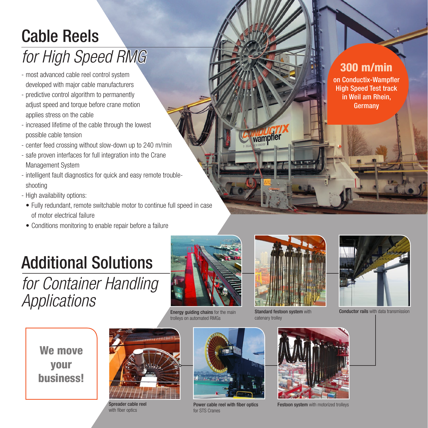### Cable Reels *for High Speed RMG*

- most advanced cable reel control system developed with major cable manufacturers
- predictive control algorithm to permanently adjust speed and torque before crane motion applies stress on the cable
- increased lifetime of the cable through the lowest possible cable tension
- center feed crossing without slow-down up to 240 m/min
- safe proven interfaces for full integration into the Crane Management System
- intelligent fault diagnostics for quick and easy remote troubleshooting
- High availability options:
- Fully redundant, remote switchable motor to continue full speed in case of motor electrical failure
- Conditions monitoring to enable repair before a failure

## Additional Solutions

*for Container Handling Applications*



**Energy guiding chains** for the main trolleys on automated RMGs



wampfler

Standard festoon system with catenary trolley



Conductor rails with data transmission

We move your business!



Spreader cable reel with fiber optics



Power cable reel with fiber optics for STS Cranes



Festoon system with motorized trolleys

#### 300 m/min

on Conductix-Wampfler High Speed Test track in Weil am Rhein, **Germany**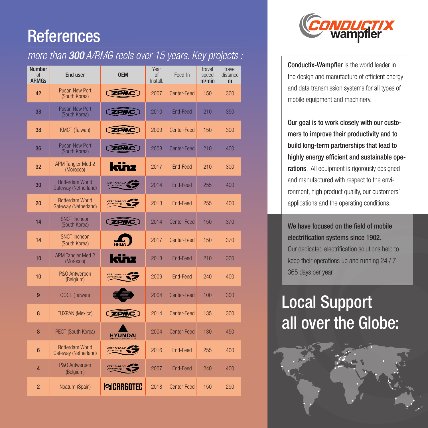### **References**

#### *more than* 300 *A/RMG reels over 15 years. Key projects :*

| <b>Number</b><br>0f<br><b>ARMGs</b> | <b>End user</b>                                | <b>OEM</b>             | Year<br>0f<br>Install. | Feed-In         | travel<br>speed<br>m/min | travel<br>distance<br>m |
|-------------------------------------|------------------------------------------------|------------------------|------------------------|-----------------|--------------------------|-------------------------|
| 42                                  | <b>Pusan New Port</b><br>(South Korea)         | <b>ZPMC</b>            | 2007                   | Center-Feed     | 150                      | 300                     |
| 38                                  | <b>Pusan New Port</b><br>(South Korea)         | <b>ZPMC</b>            | 2010                   | <b>End-Feed</b> | 210                      | 350                     |
| 38                                  | <b>KMCT</b> (Taiwan)                           | <b>EPMC</b>            | 2009                   | Center-Feed     | 150                      | 300                     |
| 36                                  | <b>Pusan New Port</b><br>(South Korea)         | <b>EPMC</b>            | 2008                   | Center-Feed     | 210                      | 400                     |
| 32                                  | <b>APM Tangier Med 2</b><br>(Morocco)          | künz                   | 2017                   | End-Feed        | 210                      | 300                     |
| 30                                  | <b>Rotterdam World</b><br>Gateway (Netherland) | <b>GOTTWALD</b>        | 2014                   | End-Feed        | 255                      | 400                     |
| 20                                  | <b>Rotterdam World</b><br>Gateway (Netherland) | GOTTWALD.              | 2013                   | End-Feed        | 255                      | 400                     |
| 14                                  | <b>SNCT Incheon</b><br>(South Korea)           | <b>ZPMC</b>            | 2014                   | Center-Feed     | 150                      | 370                     |
| 14                                  | <b>SNCT Incheon</b><br>(South Korea)           |                        | 2017                   | Center-Feed     | 150                      | 370                     |
| 10                                  | <b>APM Tangier Med 2</b><br>(Morocco)          | künz                   | 2018                   | End-Feed        | 210                      | 300                     |
| 10                                  | P&O Antwerpen<br>(Belgium)                     | <i><b>GOTTWALD</b></i> | 2009                   | End-Feed        | 240                      | 400                     |
| 9                                   | <b>OOCL (Taiwan)</b>                           |                        | 2004                   | Center-Feed     | 100                      | 300                     |
| 8                                   | <b>TUXPAN (Mexico)</b>                         | <b>ZPMC</b>            | 2014                   | Center-Feed     | 135                      | 300                     |
| 8                                   | <b>PECT</b> (South Korea)                      | <b>HYUNDAI</b>         | 2004                   | Center-Feed     | 130                      | 450                     |
| $6\phantom{1}$                      | <b>Rotterdam World</b><br>Gateway (Netherland) | GOTTWALD.              | 2016                   | End-Feed        | 255                      | 400                     |
| 4                                   | P&O Antwerpen<br>(Belgium)                     | <b>GOTTWALD</b>        | 2007                   | <b>End-Feed</b> | 240                      | 400                     |
| $\overline{2}$                      | Noatum (Spain)                                 | <b>SCARGOTEC</b>       | 2018                   | Center-Feed     | 150                      | 290                     |



Conductix-Wampfler is the world leader in the design and manufacture of efficient energy and data transmission systems for all types of mobile equipment and machinery.

Our goal is to work closely with our customers to improve their productivity and to build long-term partnerships that lead to highly energy efficient and sustainable operations. All equipment is rigorously designed and manufactured with respect to the environment, high product quality, our customers' applications and the operating conditions.

We have focused on the field of mobile electrification systems since 1902. Our dedicated electrification solutions help to keep their operations up and running 24 / 7 – 365 days per year.

## Local Support all over the Globe: